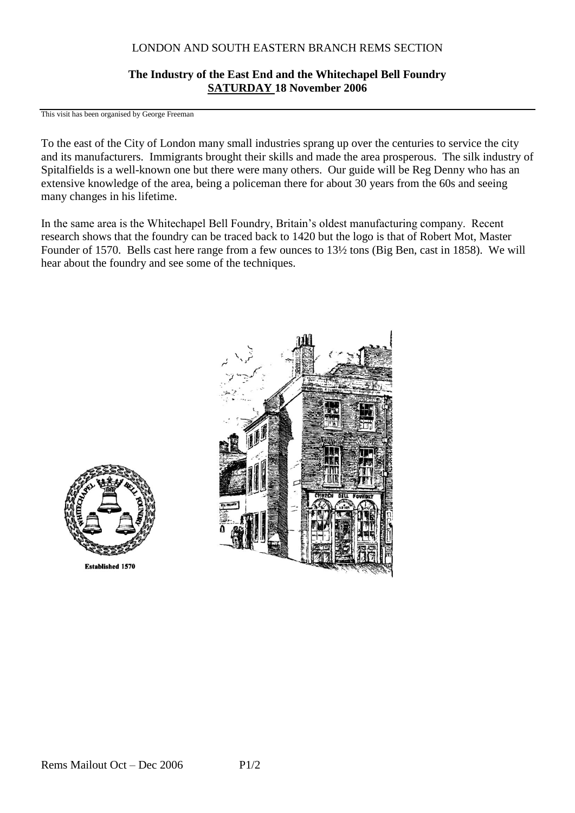## LONDON AND SOUTH EASTERN BRANCH REMS SECTION

## **The Industry of the East End and the Whitechapel Bell Foundry SATURDAY 18 November 2006**

This visit has been organised by George Freeman

To the east of the City of London many small industries sprang up over the centuries to service the city and its manufacturers. Immigrants brought their skills and made the area prosperous. The silk industry of Spitalfields is a well-known one but there were many others. Our guide will be Reg Denny who has an extensive knowledge of the area, being a policeman there for about 30 years from the 60s and seeing many changes in his lifetime.

In the same area is the Whitechapel Bell Foundry, Britain's oldest manufacturing company. Recent research shows that the foundry can be traced back to 1420 but the logo is that of Robert Mot, Master Founder of 1570. Bells cast here range from a few ounces to 13½ tons (Big Ben, cast in 1858). We will hear about the foundry and see some of the techniques.



**Established 1570**